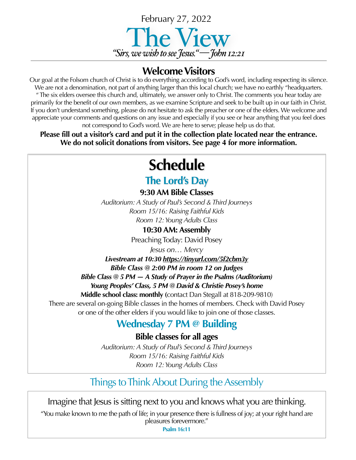

### **Welcome Visitors**

Our goal at the Folsom church of Christ is to do everything according to God's word, including respecting its silence. We are not a denomination, not part of anything larger than this local church; we have no earthly "headquarters. " The six elders oversee this church and, ultimately, we answer only to Christ. The comments you hear today are primarily for the benefit of our own members, as we examine Scripture and seek to be built up in our faith in Christ. If you don't understand something, please do not hesitate to ask the preacher or one of the elders. We welcome and appreciate your comments and questions on any issue and especially if you see or hear anything that you feel does not correspond to God's word. We are here to serve; please help us do that.

**Please fill out a visitor's card and put it in the collection plate located near the entrance. We do not solicit donations from visitors. See page 4 for more information.**

# **Schedule**

### **The Lord's Day**

**9:30 AM Bible Classes**

*Auditorium: A Study of Paul's Second & Third Journeys Room 15/16: Raising Faithful Kids Room 12: Young Adults Class*

**10:30 AM: Assembly**

Preaching Today: David Posey

*Jesus on… Mercy*

*Livestream at 10:30 <https://tinyurl.com/5f2cbm3y> Bible Class @ 2:00 PM in room 12 on Judges*

*Bible Class @ 5 PM — A Study of Prayer in the Psalms (Auditorium) Young Peoples' Class, 5 PM @ David & Christie Posey's home* 

**Middle school class: monthly (**contact Dan Stegall at 818-209-9810)

There are several on-going Bible classes in the homes of members. Check with David Posey or one of the other elders if you would like to join one of those classes.

### **Wednesday 7 PM @ Building**

**Bible classes for all ages**

*Auditorium: A Study of Paul's Second & Third Journeys Room 15/16: Raising Faithful Kids Room 12: Young Adults Class*

### Things to Think About During the Assembly

Imagine that Jesus is sitting next to you and knows what you are thinking.

"You make known to me the path of life; in your presence there is fullness of joy; at your right hand are pleasures forevermore."

**Psalm 16:11**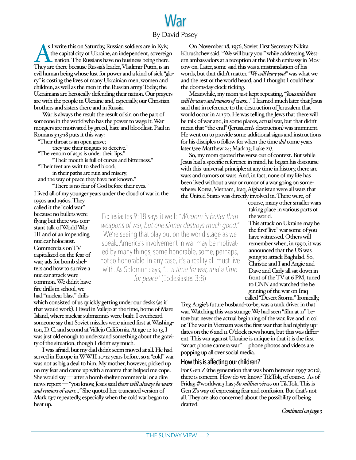### War By David Posey

s I write this on Saturday, Russian soldiers are in Kyiv, the capital city of Ukraine, an independent, sovereign nation. The Russians have no business being there. They are there because Russia's leader, Vladimir Putin, is an evil human being whose lust for power and a kind of sick "glory" is costing the lives of many Ukrainian men, women and children, as well as the men in the Russian army. Today, the Ukrainians are heroically defending their nation. Our prayers are with the people in Ukraine and, especially, our Christian brothers and sisters there and in Russia.

War is always the result the result of sin on the part of someone in the world who has the power to wage it. Warmongers are motivated by greed, hate and bloodlust. Paul in Romans 3:13-18 puts it this way:

"Their throat is an open grave; "The venom of asps is under their lips." "Their mouth is full of curses and bitterness." "Their feet are swift to shed blood; in their paths are ruin and misery, and the way of peace they have not known." "There is no fear of God before their eyes."

I lived all of my younger years under the cloud of war in the 1950s and 1960s. They

called it the "cold war" because no bullets were flying but there was constant talk of World War III and of an impending nuclear holocaust. Commercials on TV capitalized on the fear of war; ads for bomb shelters and how to survive a nuclear attack were common. We didn't have fire drills in school, we had "nuclear blast" drills

On November 18, 1956, Soviet First Secretary Nikita Khrushchev said, "We will bury you!" while addressing Western ambassadors at a reception at the Polish embassy in Moscow on. Later, some said this was a mistranslation of his words, but that didn't matter. *"We will bury you!"* was what we and the rest of the world heard, and I thought I could hear the doomsday clock ticking.

Meanwhile, my mom just kept repeating, *"Jesus said there will be wars and rumors of wars…"* I learned much later that Jesus said that in reference to the destruction of Jerusalem that would occur in AD 70. He was telling the Jews that there will be talk of war and, in some places, actual war, but that didn't mean that "the end" (Jerusalem's destruction) was imminent. He went on to provide some additional signs and instructions for his disciples o follow for when the time *did* come years later (see Matthew 24; Mark 13; Luke 21).

So, my mom quoted the verse out of context. But while Jesus had a specific reference in mind, he began his discourse with this universal principle: at any time in history, there are wars and rumors of wars. And, in fact, none of my life has been lived without a war or rumor of a war going on somewhere: Korea, Vietnam, Iraq, Afghanistan were all wars that the United States was directly involved in. There were, of

> course, many other smaller wars taking place in various parts of the world.

This attack on Ukraine may be the first"live" war some of you have witnessed. Others will remember when, in 1990, it was announced that the US was going to attack Baghdad. So, Christie and I and Angie and Dave and Carly all sat down in front of the TV at 6 PM, tuned to CNN and watched the beginning of the war on Iraq called "Desert Storm." Ironically,

Trey, Angie's future husband-to-be, was a tank driver in that war. Watching this was strange. We had seen "film at  $11$ " before but never the actual beginning of the war, live and in color. The war in Vietnam was the first war that had nightly updates on the 6 and 11 O'clock news hours, but this was different. This war against Ukraine is unique in that it is the first "smart phone camera war"— phone photos and videos are popping up all over social media.

#### How this is affecting our children?

For Gen Z (the generation that was born between 1997-2012), there is concern. How do we know? TikTok, of course. As of Friday, #worldwar3 has *780 million views* on TikTok. This is Gen Z's way of expressing fear and confusion. But that's not all. They are also concerned about the possibility of being drafted.

*Continued on page 3*

Ecclesiastes 9:18 says it well: *"Wisdom is better than weapons of war, but one sinner destroys much good."* We're seeing that play out on the world stage as we speak. America's involvement in war may be motivated by many things, some honorable, some, perhaps, not so honorable. In any case, it's a reality all must live with. As Solomon says, *"…a time for war, and a time for peace"* (Ecclesiastes 3:8)

which consisted of us quickly getting under our desks (as if that would work). I lived in Vallejo at the time, home of Mare Island, where nuclear submarines were built. I overheard someone say that Soviet missiles were aimed first at Washington, D. C. and second at Vallejo California. At age 12 to 13, I was just old enough to understand something about the gravity of the situation, though I didn't say much.

I was afraid, but my dad didn't seem moved at all. He had served in Europe in WWII 10-12 years before, so a "cold" war was not as big a deal to him. My mother, however, picked up on my fear and came up with a mantra that helped me cope. She would say — after a bomb shelter commercial or a dire news report — "you know, Jesus said *there will always be wars and rumors of wars…"* She quoted her truncated version of Mark 13:7 repeatedly, especially when the cold war began to heat up.